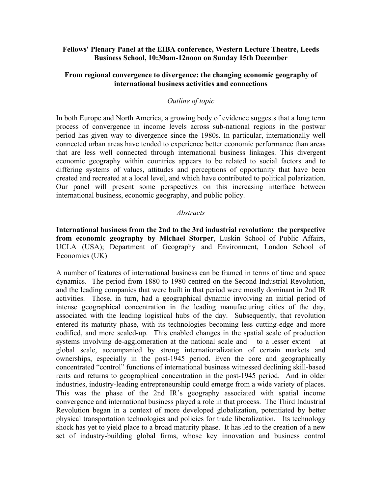### **Fellows' Plenary Panel at the EIBA conference, Western Lecture Theatre, Leeds Business School, 10:30am-12noon on Sunday 15th December**

## **From regional convergence to divergence: the changing economic geography of international business activities and connections**

### *Outline of topic*

In both Europe and North America, a growing body of evidence suggests that a long term process of convergence in income levels across sub-national regions in the postwar period has given way to divergence since the 1980s. In particular, internationally well connected urban areas have tended to experience better economic performance than areas that are less well connected through international business linkages. This divergent economic geography within countries appears to be related to social factors and to differing systems of values, attitudes and perceptions of opportunity that have been created and recreated at a local level, and which have contributed to political polarization. Our panel will present some perspectives on this increasing interface between international business, economic geography, and public policy.

#### *Abstracts*

**International business from the 2nd to the 3rd industrial revolution: the perspective from economic geography by Michael Storper**, Luskin School of Public Affairs, UCLA (USA); Department of Geography and Environment, London School of Economics (UK)

A number of features of international business can be framed in terms of time and space dynamics. The period from 1880 to 1980 centred on the Second Industrial Revolution, and the leading companies that were built in that period were mostly dominant in 2nd IR activities. Those, in turn, had a geographical dynamic involving an initial period of intense geographical concentration in the leading manufacturing cities of the day, associated with the leading logistical hubs of the day. Subsequently, that revolution entered its maturity phase, with its technologies becoming less cutting-edge and more codified, and more scaled-up. This enabled changes in the spatial scale of production systems involving de-agglomeration at the national scale and – to a lesser extent – at global scale, accompanied by strong internationalization of certain markets and ownerships, especially in the post-1945 period. Even the core and geographically concentrated "control" functions of international business witnessed declining skill-based rents and returns to geographical concentration in the post-1945 period. And in older industries, industry-leading entrepreneurship could emerge from a wide variety of places. This was the phase of the 2nd IR's geography associated with spatial income convergence and international business played a role in that process. The Third Industrial Revolution began in a context of more developed globalization, potentiated by better physical transportation technologies and policies for trade liberalization. Its technology shock has yet to yield place to a broad maturity phase. It has led to the creation of a new set of industry-building global firms, whose key innovation and business control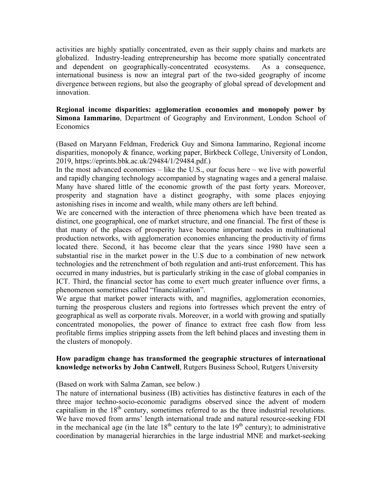activities are highly spatially concentrated, even as their supply chains and markets are globalized. Industry-leading entrepreneurship has become more spatially concentrated and dependent on geographically-concentrated ecosystems. As a consequence, international business is now an integral part of the two-sided geography of income divergence between regions, but also the geography of global spread of development and innovation.

# **Regional income disparities: agglomeration economies and monopoly power by Simona Iammarino**, Department of Geography and Environment, London School of Economics

(Based on Maryann Feldman, Frederick Guy and Simona Iammarino, Regional income disparities, monopoly & finance, working paper, Birkbeck College, University of London, 2019, https://eprints.bbk.ac.uk/29484/1/29484.pdf.)

In the most advanced economies – like the U.S., our focus here – we live with powerful and rapidly changing technology accompanied by stagnating wages and a general malaise. Many have shared little of the economic growth of the past forty years. Moreover, prosperity and stagnation have a distinct geography, with some places enjoying astonishing rises in income and wealth, while many others are left behind.

We are concerned with the interaction of three phenomena which have been treated as distinct, one geographical, one of market structure, and one financial. The first of these is that many of the places of prosperity have become important nodes in multinational production networks, with agglomeration economies enhancing the productivity of firms located there. Second, it has become clear that the years since 1980 have seen a substantial rise in the market power in the U.S due to a combination of new network technologies and the retrenchment of both regulation and anti-trust enforcement. This has occurred in many industries, but is particularly striking in the case of global companies in ICT. Third, the financial sector has come to exert much greater influence over firms, a phenomenon sometimes called "financialization".

We argue that market power interacts with, and magnifies, agglomeration economies, turning the prosperous clusters and regions into fortresses which prevent the entry of geographical as well as corporate rivals. Moreover, in a world with growing and spatially concentrated monopolies, the power of finance to extract free cash flow from less profitable firms implies stripping assets from the left behind places and investing them in the clusters of monopoly.

# **How paradigm change has transformed the geographic structures of international knowledge networks by John Cantwell**, Rutgers Business School, Rutgers University

(Based on work with Salma Zaman, see below.)

The nature of international business (IB) activities has distinctive features in each of the three major techno-socio-economic paradigms observed since the advent of modern capitalism in the 18<sup>th</sup> century, sometimes referred to as the three industrial revolutions. We have moved from arms' length international trade and natural resource-seeking FDI in the mechanical age (in the late  $18<sup>th</sup>$  century to the late  $19<sup>th</sup>$  century); to administrative coordination by managerial hierarchies in the large industrial MNE and market-seeking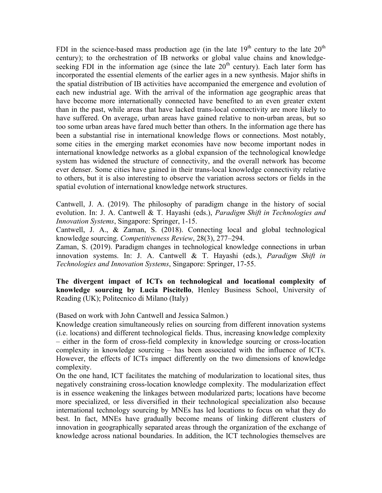FDI in the science-based mass production age (in the late  $19<sup>th</sup>$  century to the late  $20<sup>th</sup>$ century); to the orchestration of IB networks or global value chains and knowledgeseeking FDI in the information age (since the late  $20<sup>th</sup>$  century). Each later form has incorporated the essential elements of the earlier ages in a new synthesis. Major shifts in the spatial distribution of IB activities have accompanied the emergence and evolution of each new industrial age. With the arrival of the information age geographic areas that have become more internationally connected have benefited to an even greater extent than in the past, while areas that have lacked trans-local connectivity are more likely to have suffered. On average, urban areas have gained relative to non-urban areas, but so too some urban areas have fared much better than others. In the information age there has been a substantial rise in international knowledge flows or connections. Most notably, some cities in the emerging market economies have now become important nodes in international knowledge networks as a global expansion of the technological knowledge system has widened the structure of connectivity, and the overall network has become ever denser. Some cities have gained in their trans-local knowledge connectivity relative to others, but it is also interesting to observe the variation across sectors or fields in the spatial evolution of international knowledge network structures.

Cantwell, J. A. (2019). The philosophy of paradigm change in the history of social evolution. In: J. A. Cantwell & T. Hayashi (eds.), *Paradigm Shift in Technologies and Innovation Systems*, Singapore: Springer, 1-15.

Cantwell, J. A., & Zaman, S. (2018). Connecting local and global technological knowledge sourcing. *Competitiveness Review*, 28(3), 277–294.

Zaman, S. (2019). Paradigm changes in technological knowledge connections in urban innovation systems. In: J. A. Cantwell & T. Hayashi (eds.), *Paradigm Shift in Technologies and Innovation Systems*, Singapore: Springer, 17-55.

**The divergent impact of ICTs on technological and locational complexity of knowledge sourcing by Lucia Piscitello**, Henley Business School, University of Reading (UK); Politecnico di Milano (Italy)

(Based on work with John Cantwell and Jessica Salmon.)

Knowledge creation simultaneously relies on sourcing from different innovation systems (i.e. locations) and different technological fields. Thus, increasing knowledge complexity – either in the form of cross-field complexity in knowledge sourcing or cross-location complexity in knowledge sourcing – has been associated with the influence of ICTs. However, the effects of ICTs impact differently on the two dimensions of knowledge complexity.

On the one hand, ICT facilitates the matching of modularization to locational sites, thus negatively constraining cross-location knowledge complexity. The modularization effect is in essence weakening the linkages between modularized parts; locations have become more specialized, or less diversified in their technological specialization also because international technology sourcing by MNEs has led locations to focus on what they do best. In fact, MNEs have gradually become means of linking different clusters of innovation in geographically separated areas through the organization of the exchange of knowledge across national boundaries. In addition, the ICT technologies themselves are